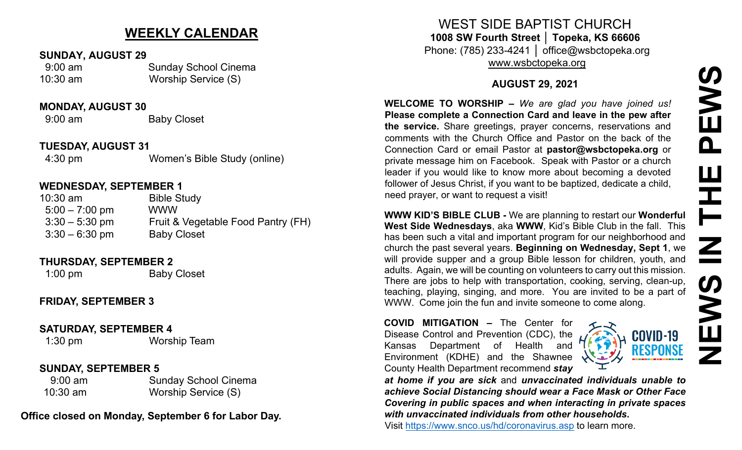# **NEWS IN THE PEWS**PEWS **THE** Z NEN<br>N

# **WEEKLY CALENDAR**

# **SUNDAY, AUGUST 29**

 9:00 am Sunday School Cinema 10:30 am Worship Service (S)

### **MONDAY, AUGUST 30**

9:00 am Baby Closet

# **TUESDAY, AUGUST 31**

4:30 pm Women's Bible Study (online)

# **WEDNESDAY, SEPTEMBER 1**

| $10:30$ am       | <b>Bible Study</b>                 |
|------------------|------------------------------------|
| $5:00 - 7:00$ pm | <b>WWW</b>                         |
| $3:30 - 5:30$ pm | Fruit & Vegetable Food Pantry (FH) |
| $3:30 - 6:30$ pm | <b>Baby Closet</b>                 |

### **THURSDAY, SEPTEMBER 2**

1:00 pm Baby Closet

# **FRIDAY, SEPTEMBER 3**

**SATURDAY, SEPTEMBER 4**

1:30 pm Worship Team

# **SUNDAY, SEPTEMBER 5**

9:00 am Sunday School Cinema 10:30 am Worship Service (S)

**Office closed on Monday, September 6 for Labor Day.**

WEST SIDE BAPTIST CHURCH **1008 SW Fourth Street │ Topeka, KS 66606** Phone: (785) 233-4241 │ office@wsbctopeka.org

[www.wsbctopeka.org](http://www.wsbctopeka.org/)

# **AUGUST 29, 2021**

**WELCOME TO WORSHIP –** *We are glad you have joined us!* **Please complete a Connection Card and leave in the pew after the service.** Share greetings, prayer concerns, reservations and comments with the Church Office and Pastor on the back of the Connection Card or email Pastor at **pastor@wsbctopeka.org** or private message him on Facebook. [S](https://www.facebook.com/ivangreuter.)peak with Pastor or a church leader if you would like to know more about becoming a devoted follower of Jesus Christ, if you want to be baptized, dedicate a child, need prayer, or want to request a visit!

**WWW KID'S BIBLE CLUB -** We are planning to restart our **Wonderful West Side Wednesdays**, aka **WWW**, Kid's Bible Club in the fall. This has been such a vital and important program for our neighborhood and church the past several years. **Beginning on Wednesday, Sept 1**, we will provide supper and a group Bible lesson for children, youth, and adults. Again, we will be counting on volunteers to carry out this mission. There are jobs to help with transportation, cooking, serving, clean-up, teaching, playing, singing, and more. You are invited to be a part of WWW. Come join the fun and invite someone to come along.

**COVID MITIGATION –** The Center for Disease Control and Prevention (CDC), the Kansas Department of Health and Environment (KDHE) and the Shawnee County Health Department recommend *stay* 



*at home if you are sick* and *unvaccinated individuals unable to achieve Social Distancing should wear a Face Mask or Other Face Covering in public spaces and when interacting in private spaces with unvaccinated individuals from other households***.**

Visit <https://www.snco.us/hd/coronavirus.asp> to learn more.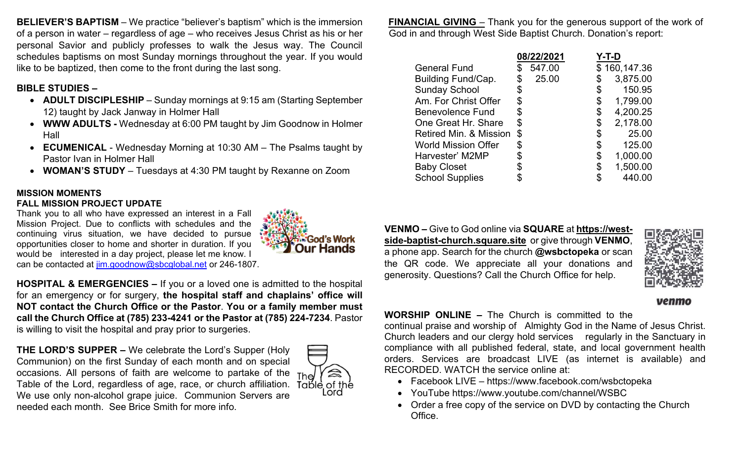**BELIEVER'S BAPTISM** – We practice "believer's baptism" which is the immersion of a person in water – regardless of age – who receives Jesus Christ as his or her personal Savior and publicly professes to walk the Jesus way. The Council schedules baptisms on most Sunday mornings throughout the year. If you would like to be baptized, then come to the front during the last song.

# **BIBLE STUDIES –**

- **ADULT DISCIPLESHIP** Sunday mornings at 9:15 am (Starting September 12) taught by Jack Janway in Holmer Hall
- **WWW ADULTS -** Wednesday at 6:00 PM taught by Jim Goodnow in Holmer Hall
- **ECUMENICAL** Wednesday Morning at 10:30 AM The Psalms taught by Pastor Ivan in Holmer Hall
- **WOMAN'S STUDY** Tuesdays at 4:30 PM taught by Rexanne on Zoom

# **MISSION MOMENTS**

### **FALL MISSION PROJECT UPDATE**

Thank you to all who have expressed an interest in a Fall Mission Project. Due to conflicts with schedules and the continuing virus situation, we have decided to pursue opportunities closer to home and shorter in duration. If you would be interested in a day project, please let me know. I can be contacted at j[im.goodnow@sbcglobal.net](mailto:jim.goodnow@sbcglobal.net) or 246-1807.



**HOSPITAL & EMERGENCIES –** If you or a loved one is admitted to the hospital for an emergency or for surgery, **the hospital staff and chaplains' office will NOT contact the Church Office or the Pastor**. **You or a family member must call the Church Office at (785) 233-4241 or the Pastor at (785) 224-7234**. Pastor is willing to visit the hospital and pray prior to surgeries.

**THE LORD'S SUPPER –** We celebrate the Lord's Supper (Holy Communion) on the first Sunday of each month and on special occasions. All persons of faith are welcome to partake of the  $Thel$ Table of the Lord, regardless of age, race, or church affiliation. We use only non-alcohol grape juice.Communion Servers are needed each month. See Brice Smith for more info.



**FINANCIAL GIVING** – Thank you for the generous support of the work of God in and through West Side Baptist Church. Donation's report:

|                            | 08/22/2021 |        | Y-T-D |              |  |
|----------------------------|------------|--------|-------|--------------|--|
| <b>General Fund</b>        |            | 547.00 |       | \$160,147.36 |  |
| Building Fund/Cap.         |            | 25.00  |       | 3,875.00     |  |
| <b>Sunday School</b>       | \$         |        | \$    | 150.95       |  |
| Am. For Christ Offer       | \$         |        | \$    | 1,799.00     |  |
| <b>Benevolence Fund</b>    | \$         |        | \$    | 4,200.25     |  |
| One Great Hr. Share        | \$         |        | \$    | 2,178.00     |  |
| Retired Min. & Mission     | \$         |        |       | 25.00        |  |
| <b>World Mission Offer</b> | \$         |        | \$    | 125.00       |  |
| Harvester' M2MP            |            |        | \$    | 1,000.00     |  |
| <b>Baby Closet</b>         |            |        | \$    | 1,500.00     |  |
| <b>School Supplies</b>     |            |        |       | 440.00       |  |

**VENMO –** Give to God online via **SQUARE** at **[https://west](https://west-side-baptist-church.square.site/)[side-baptist-church.square.site](https://west-side-baptist-church.square.site/)** or give through **VENMO**, a phone app. Search for the church **@wsbctopeka** or scan the QR code. We appreciate all your donations and generosity. Questions? Call the Church Office for help.



### venmo

# **WORSHIP ONLINE –** The Church is committed to the

continual praise and worship of Almighty God in the Name of Jesus Christ. Church leaders and our clergy hold services regularly in the Sanctuary in compliance with all published federal, state, and local government health orders. Services are broadcast LIVE (as internet is available) and RECORDED. WATCH the service online at:

- Facebook LIVE https://www.facebook.com/wsbctopeka
- YouTube https://www.youtube.com/channel/WSBC
- Order a free copy of the service on DVD by contacting the Church Office.